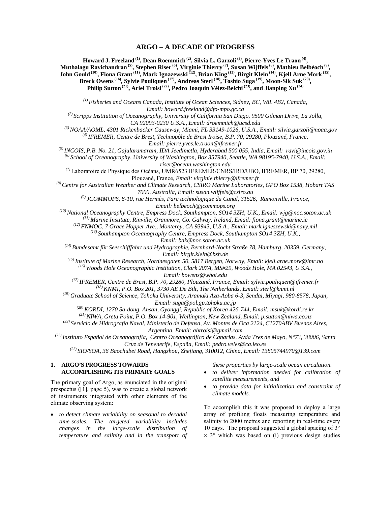# **ARGO – A DECADE OF PROGRESS**

**Howard J. Freeland (1), Dean Roemmich (2), Silvia L. Garzoli (3), Pierre-Yves Le Traon (4), Muthalagu Ravichandran (5), Stephen Riser (6), Virginie Thierry (7), Susan Wijffels (8), Mathieu Belbéoch (9), John Gould (10), Fiona Grant (11), Mark Ignazewski (12), Brian King (13), Birgit Klein (14), Kjell Arne Mork (15), Breck Owens (16), Sylvie Pouliquen (17), Andreas Sterl (18), Toshio Suga (19), Moon-Sik Suk (20), Philip Sutton (21), Ariel Troisi (22), Pedro Joaquin Vélez-Belchi (23), and Jianping Xu (24)**

*(1) Fisheries and Oceans Canada, Institute of Ocean Sciences, Sidney, BC, V8L 4B2, Canada, Email: howard.freeland@dfo-mpo.gc.ca* 

*(2) Scripps Institution of Oceanography, University of California San Diego, 9500 Gilman Drive, La Jolla, CA 92093-0230 U.S.A., Email: droemmich@ucsd.edu* 

*(3) NOAA/AOML, 4301 Rickenbacker Causeway, Miami, FL 33149-1026, U.S.A., Email: silvia.garzoli@noaa.gov (4) IFREMER, Centre de Brest, Technopôle de Brest Iroise, B.P. 70, 29280, Plouzané, France,* 

*Email: pierre.yves.le.traon@ifremer.fr* 

*(5) INCOIS, P.B. No. 21, Gajularamaram, IDA Jeedimetla, Hyderabad 500 055, India, Email: ravi@incois.gov.in* 

*(6) School of Oceanography, University of Washington, Box 357940, Seattle, WA 98195-7940, U.S.A., Email: riser@ocean.washington.edu* 

*(7)* Laboratoire de Physique des Océans, UMR6523 IFREMER/CNRS/IRD/UBO, IFREMER, BP 70, 29280, Plouzané, France*, Email: virginie.thierry@ifremer.fr* 

*(8) Centre for Australian Weather and Climate Research, CSIRO Marine Laboratories, GPO Box 1538, Hobart TAS 7000, Australia, Email: susan.wijffels@csiro.au* 

*(9) JCOMMOPS, 8-10, rue Hermès, Parc technologique du Canal, 31526, Ramonville, France,* 

*Email: belbeoch@jcommops.org* 

*(10) National Oceanography Centre, Empress Dock, Southampton, SO14 3ZH, U.K., Email: wjg@noc.soton.ac.uk* 

*(11) Marine Institute, Rinville, Oranmore, Co. Galway, Ireland, Email: fiona.grant@marine.ie* 

*(12) FNMOC, 7 Grace Hopper Ave., Monterey, CA 93943, U.S.A., Email: mark.igneszewski@navy.mil* 

*(13) Southampton Oceanography Centre, Empress Dock, Southampton SO14 3ZH, U.K., Email: bak@noc.soton.ac.uk* 

*(14) Bundesamt für Seeschifffahrt und Hydrographie, Bernhard-Nocht Straße 78, Hamburg, 20359, Germany, Email: birgit.klein@bsh.de* 

*(15) Institute of Marine Research, Nordnesgaten 50, 5817 Bergen, Norway, Email: kjell.arne.mork@imr.no* 

*(16) Woods Hole Oceanographic Institution, Clark 207A, MS#29, Woods Hole, MA 02543, U.S.A., Email: bowens@whoi.edu* 

*(17) IFREMER, Centre de Brest, B.P. 70, 29280, Plouzané, France, Email: sylvie.pouliquen@ifremer.fr* 

*(18) KNMI, P.O. Box 201, 3730 AE De Bilt, The Netherlands, Email: sterl@knmi.nl (19) Graduate School of Science, Tohoku University, Aramaki Aza-Aoba 6-3, Sendai, Miyagi, 980-8578, Japan,* 

*Email: suga@pol.gp.tohoku.ac.jp* 

*(20) KORDI, 1270 Sa-dong, Ansan, Gyonggi, Republic of Korea 426-744, Email: msuk@kordi.re.kr* 

*(21) NIWA, Greta Point, P.O. Box 14-901, Wellington, New Zealand, Email: p.sutton@niwa.co.nz* 

*(22) Servicio de Hidrografía Naval, Ministerio de Defensa, Av. Montes de Oca 2124, C1270ABV Buenos Aires, Argentina, Email: ahtroisi@gmail.com* 

*(23) Instituto Español de Oceanografia, Centro Oceanográfico de Canarias, Avda Tres de Mayo, N°73, 38006, Santa Cruz de Tenenerife, España, Email: pedro.velez@ca.ieo.es* 

*(22) SIO/SOA, 36 Baochubei Road, Hangzhou, Zhejiang, 310012, China, Email: 13805744970@139.com*

# **1. ARGO'S PROGRESS TOWARDS ACCOMPLISHING ITS PRIMARY GOALS**

*these properties by large-scale ocean circulation.* 

- *to deliver information needed for calibration of satellite measurements, and*
- *to provide data for initialization and constraint of climate models.*

The primary goal of Argo, as enunciated in the original prospectus ([1], page 5), was to create a global network of instruments integrated with other elements of the climate observing system:

• *to detect climate variability on seasonal to decadal time-scales. The targeted variability includes changes in the large-scale distribution of temperature and salinity and in the transport of*  To accomplish this it was proposed to deploy a large array of profiling floats measuring temperature and salinity to 2000 metres and reporting in real-time every 10 days. The proposal suggested a global spacing of 3°  $\times$  3° which was based on (i) previous design studies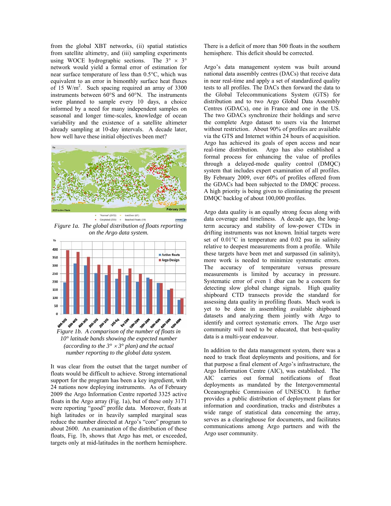from the global XBT networks, (ii) spatial statistics from satellite altimetry, and (iii) sampling experiments using WOCE hydrographic sections. The  $3^{\circ} \times 3^{\circ}$ network would yield a formal error of estimation for near surface temperature of less than 0.5°C, which was equivalent to an error in bimonthly surface heat fluxes of 15 W/m<sup>2</sup>. Such spacing required an array of  $3300$ instruments between 60°S and 60°N. The instruments were planned to sample every 10 days, a choice informed by a need for many independent samples on seasonal and longer time-scales, knowledge of ocean variability and the existence of a satellite altimeter already sampling at 10-day intervals. A decade later, how well have these initial objectives been met?



Normal" (2972) \*<br>Sreylisted (255) \* \* *Figure 1a. The global distribution of floats reporting on the Argo data system.* 



*Figure 1b. A comparison of the number of floats in 10° latitude bands showing the expected number (according to the 3°* × *3° plan) and the actual number reporting to the global data system.* 

It was clear from the outset that the target number of floats would be difficult to achieve. Strong international support for the program has been a key ingredient, with 24 nations now deploying instruments. As of February 2009 the Argo Information Centre reported 3325 active floats in the Argo array (Fig. 1a), but of these only 3171 were reporting "good" profile data. Moreover, floats at high latitudes or in heavily sampled marginal seas reduce the number directed at Argo's "core" program to about 2600. An examination of the distribution of these floats, Fig. 1b, shows that Argo has met, or exceeded, targets only at mid-latitudes in the northern hemisphere. There is a deficit of more than 500 floats in the southern hemisphere. This deficit should be corrected.

Argo's data management system was built around national data assembly centres (DACs) that receive data in near real-time and apply a set of standardized quality tests to all profiles. The DACs then forward the data to the Global Telecommunications System (GTS) for distribution and to two Argo Global Data Assembly Centres (GDACs), one in France and one in the US. The two GDACs synchronize their holdings and serve the complete Argo dataset to users via the Internet without restriction. About 90% of profiles are available via the GTS and Internet within 24 hours of acquisition. Argo has achieved its goals of open access and near real-time distribution. Argo has also established a formal process for enhancing the value of profiles through a delayed-mode quality control (DMQC) system that includes expert examination of all profiles. By February 2009, over 60% of profiles offered from the GDACs had been subjected to the DMQC process. A high priority is being given to eliminating the present DMQC backlog of about 100,000 profiles.

Argo data quality is an equally strong focus along with data coverage and timeliness. A decade ago, the longterm accuracy and stability of low-power CTDs in drifting instruments was not known. Initial targets were set of 0.01°C in temperature and 0.02 psu in salinity relative to deepest measurements from a profile. While these targets have been met and surpassed (in salinity), more work is needed to minimize systematic errors. The accuracy of temperature versus pressure measurements is limited by accuracy in pressure. Systematic error of even 1 dbar can be a concern for detecting slow global change signals. High quality shipboard CTD transects provide the standard for assessing data quality in profiling floats. Much work is yet to be done in assembling available shipboard datasets and analyzing them jointly with Argo to identify and correct systematic errors. The Argo user community will need to be educated, that best-quality data is a multi-year endeavour.

In addition to the data management system, there was a need to track float deployments and positions, and for that purpose a final element of Argo's infrastructure, the Argo Information Centre (AIC), was established. The AIC carries out formal notifications of float deployments as mandated by the Intergovernmental Oceanographic Commission of UNESCO. It further provides a public distribution of deployment plans for information and coordination, tracks and distributes a wide range of statistical data concerning the array, serves as a clearinghouse for documents, and facilitates communications among Argo partners and with the Argo user community.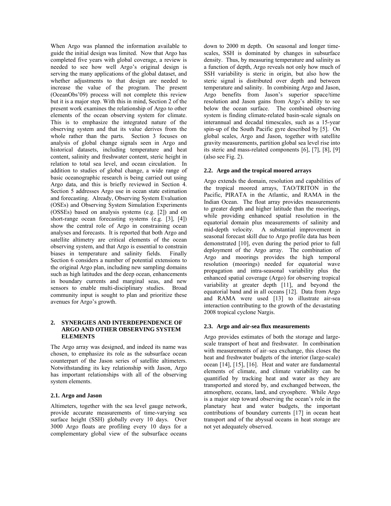When Argo was planned the information available to guide the initial design was limited. Now that Argo has completed five years with global coverage, a review is needed to see how well Argo's original design is serving the many applications of the global dataset, and whether adjustments to that design are needed to increase the value of the program. The present (OceanObs'09) process will not complete this review but it is a major step. With this in mind, Section 2 of the present work examines the relationship of Argo to other elements of the ocean observing system for climate. This is to emphasize the integrated nature of the observing system and that its value derives from the whole rather than the parts. Section 3 focuses on analysis of global change signals seen in Argo and historical datasets, including temperature and heat content, salinity and freshwater content, steric height in relation to total sea level, and ocean circulation. In addition to studies of global change, a wide range of basic oceanographic research is being carried out using Argo data, and this is briefly reviewed in Section 4. Section 5 addresses Argo use in ocean state estimation and forecasting. Already, Observing System Evaluation (OSEs) and Observing System Simulation Experiments (OSSEs) based on analysis systems (e.g. [2]) and on short-range ocean forecasting systems (e.g. [3], [4]) show the central role of Argo in constraining ocean analyses and forecasts. It is reported that both Argo and satellite altimetry are critical elements of the ocean observing system, and that Argo is essential to constrain biases in temperature and salinity fields. Finally Section 6 considers a number of potential extensions to the original Argo plan, including new sampling domains such as high latitudes and the deep ocean, enhancements in boundary currents and marginal seas, and new sensors to enable multi-disciplinary studies. Broad community input is sought to plan and prioritize these avenues for Argo's growth.

#### **2. SYNERGIES AND INTERDEPENDENCE OF ARGO AND OTHER OBSERVING SYSTEM ELEMENTS**

The Argo array was designed, and indeed its name was chosen, to emphasize its role as the subsurface ocean counterpart of the Jason series of satellite altimeters. Notwithstanding its key relationship with Jason, Argo has important relationships with all of the observing system elements.

## **2.1. Argo and Jason**

Altimeters, together with the sea level gauge network, provide accurate measurements of time-varying sea surface height (SSH) globally every 10 days. Over 3000 Argo floats are profiling every 10 days for a complementary global view of the subsurface oceans down to 2000 m depth. On seasonal and longer timescales, SSH is dominated by changes in subsurface density. Thus, by measuring temperature and salinity as a function of depth, Argo reveals not only how much of SSH variability is steric in origin, but also how the steric signal is distributed over depth and between temperature and salinity. In combining Argo and Jason, Argo benefits from Jason's superior space/time resolution and Jason gains from Argo's ability to see below the ocean surface. The combined observing system is finding climate-related basin-scale signals on interannual and decadal timescales, such as a 15-year spin-up of the South Pacific gyre described by [5]. On global scales, Argo and Jason, together with satellite gravity measurements, partition global sea level rise into its steric and mass-related components [6], [7], [8], [9] (also see Fig. 2).

### **2.2. Argo and the tropical moored arrays**

Argo extends the domain, resolution and capabilities of the tropical moored arrays, TAO/TRITON in the Pacific, PIRATA in the Atlantic, and RAMA in the Indian Ocean. The float array provides measurements to greater depth and higher latitude than the moorings, while providing enhanced spatial resolution in the equatorial domain plus measurements of salinity and mid-depth velocity. A substantial improvement in seasonal forecast skill due to Argo profile data has been demonstrated [10], even during the period prior to full deployment of the Argo array. The combination of Argo and moorings provides the high temporal resolution (moorings) needed for equatorial wave propagation and intra-seasonal variability plus the enhanced spatial coverage (Argo) for observing tropical variability at greater depth [11], and beyond the equatorial band and in all oceans [12]. Data from Argo and RAMA were used [13] to illustrate air-sea interaction contributing to the growth of the devastating 2008 tropical cyclone Nargis.

#### **2.3. Argo and air-sea flux measurements**

Argo provides estimates of both the storage and largescale transport of heat and freshwater. In combination with measurements of air–sea exchange, this closes the heat and freshwater budgets of the interior (large-scale) ocean [14], [15], [16]. Heat and water are fundamental elements of climate, and climate variability can be quantified by tracking heat and water as they are transported and stored by, and exchanged between, the atmosphere, oceans, land, and cryosphere. While Argo is a major step toward observing the ocean's role in the planetary heat and water budgets, the important contributions of boundary currents [17] in ocean heat transport and of the abyssal oceans in heat storage are not yet adequately observed.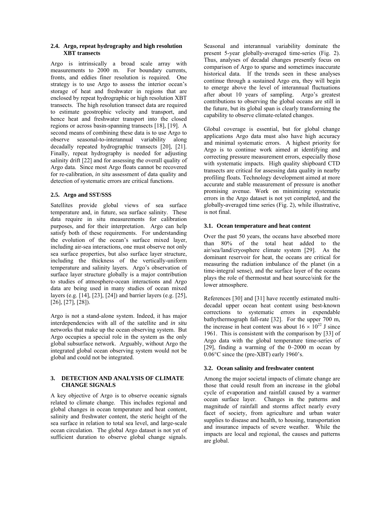### **2.4. Argo, repeat hydrography and high resolution XBT transects**

Argo is intrinsically a broad scale array with measurements to 2000 m. For boundary currents, fronts, and eddies finer resolution is required. One strategy is to use Argo to assess the interior ocean's storage of heat and freshwater in regions that are enclosed by repeat hydrographic or high resolution XBT transects. The high resolution transect data are required to estimate geostrophic velocity and transport, and hence heat and freshwater transport into the closed regions or across basin-spanning transects [18], [19]. A second means of combining these data is to use Argo to observe seasonal-to-interannual variability along decadally repeated hydrographic transects [20], [21]. Finally, repeat hydrography is needed for adjusting salinity drift [22] and for assessing the overall quality of Argo data. Since most Argo floats cannot be recovered for re-calibration, *in situ* assessment of data quality and detection of systematic errors are critical functions.

# **2.5. Argo and SST/SSS**

Satellites provide global views of sea surface temperature and, in future, sea surface salinity. These data require in situ measurements for calibration purposes, and for their interpretation. Argo can help satisfy both of these requirements. For understanding the evolution of the ocean's surface mixed layer, including air-sea interactions, one must observe not only sea surface properties, but also surface layer structure, including the thickness of the vertically-uniform temperature and salinity layers. Argo's observation of surface layer structure globally is a major contribution to studies of atmosphere-ocean interactions and Argo data are being used in many studies of ocean mixed layers (e.g. [14], [23], [24]) and barrier layers (e.g. [25], [26], [27], [28]).

Argo is not a stand-alone system. Indeed, it has major interdependencies with all of the satellite and *in situ* networks that make up the ocean observing system. But Argo occupies a special role in the system as the only global subsurface network. Arguably, without Argo the integrated global ocean observing system would not be global and could not be integrated.

## **3. DETECTION AND ANALYSIS OF CLIMATE CHANGE SIGNALS**

A key objective of Argo is to observe oceanic signals related to climate change. This includes regional and global changes in ocean temperature and heat content, salinity and freshwater content, the steric height of the sea surface in relation to total sea level, and large-scale ocean circulation. The global Argo dataset is not yet of sufficient duration to observe global change signals.

Seasonal and interannual variability dominate the present 5-year globally-averaged time-series (Fig. 2). Thus, analyses of decadal changes presently focus on comparison of Argo to sparse and sometimes inaccurate historical data. If the trends seen in these analyses continue through a sustained Argo era, they will begin to emerge above the level of interannual fluctuations after about 10 years of sampling. Argo's greatest contributions to observing the global oceans are still in the future, but its global span is clearly transforming the capability to observe climate-related changes.

Global coverage is essential, but for global change applications Argo data must also have high accuracy and minimal systematic errors. A highest priority for Argo is to continue work aimed at identifying and correcting pressure measurement errors, especially those with systematic impacts. High quality shipboard CTD transects are critical for assessing data quality in nearby profiling floats. Technology development aimed at more accurate and stable measurement of pressure is another promising avenue. Work on minimizing systematic errors in the Argo dataset is not yet completed, and the globally-averaged time series (Fig. 2), while illustrative, is not final.

# **3.1. Ocean temperature and heat content**

Over the past 50 years, the oceans have absorbed more than 80% of the total heat added to the air/sea/land/cryosphere climate system [29]. As the dominant reservoir for heat, the oceans are critical for measuring the radiation imbalance of the planet (in a time-integral sense), and the surface layer of the oceans plays the role of thermostat and heat source/sink for the lower atmosphere.

References [30] and [31] have recently estimated multidecadal upper ocean heat content using best-known corrections to systematic errors in expendable bathythermograph fall-rate [32]. For the upper 700 m, the increase in heat content was about  $16 \times 10^{22}$  J since 1961. This is consistent with the comparison by [33] of Argo data with the global temperature time-series of [29], finding a warming of the 0–2000 m ocean by 0.06°C since the (pre-XBT) early 1960's.

## **3.2. Ocean salinity and freshwater content**

Among the major societal impacts of climate change are those that could result from an increase in the global cycle of evaporation and rainfall caused by a warmer ocean surface layer. Changes in the patterns and magnitude of rainfall and storms affect nearly every facet of society, from agriculture and urban water supplies to disease and health, to housing, transportation and insurance impacts of severe weather. While the impacts are local and regional, the causes and patterns are global.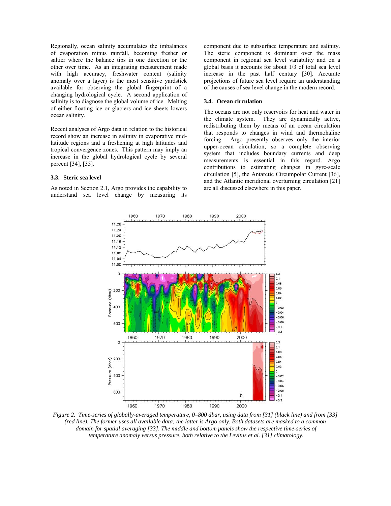Regionally, ocean salinity accumulates the imbalances of evaporation minus rainfall, becoming fresher or saltier where the balance tips in one direction or the other over time. As an integrating measurement made with high accuracy, freshwater content (salinity anomaly over a layer) is the most sensitive yardstick available for observing the global fingerprint of a changing hydrological cycle. A second application of salinity is to diagnose the global volume of ice. Melting of either floating ice or glaciers and ice sheets lowers ocean salinity.

Recent analyses of Argo data in relation to the historical record show an increase in salinity in evaporative midlatitude regions and a freshening at high latitudes and tropical convergence zones. This pattern may imply an increase in the global hydrological cycle by several percent [34], [35].

#### **3.3. Steric sea level**

As noted in Section 2.1, Argo provides the capability to understand sea level change by measuring its component due to subsurface temperature and salinity. The steric component is dominant over the mass component in regional sea level variability and on a global basis it accounts for about 1/3 of total sea level increase in the past half century [30]. Accurate projections of future sea level require an understanding of the causes of sea level change in the modern record.

#### **3.4. Ocean circulation**

The oceans are not only reservoirs for heat and water in the climate system. They are dynamically active, redistributing them by means of an ocean circulation that responds to changes in wind and thermohaline forcing. Argo presently observes only the interior upper-ocean circulation, so a complete observing system that includes boundary currents and deep measurements is essential in this regard. Argo contributions to estimating changes in gyre-scale circulation [5], the Antarctic Circumpolar Current [36], and the Atlantic meridional overturning circulation [21] are all discussed elsewhere in this paper.



*Figure 2. Time-series of globally-averaged temperature, 0–800 dbar, using data from [31] (black line) and from [33] (red line). The former uses all available data; the latter is Argo only. Both datasets are masked to a common domain for spatial averaging [33]. The middle and bottom panels show the respective time-series of temperature anomaly versus pressure, both relative to the Levitus et al. [31] climatology.*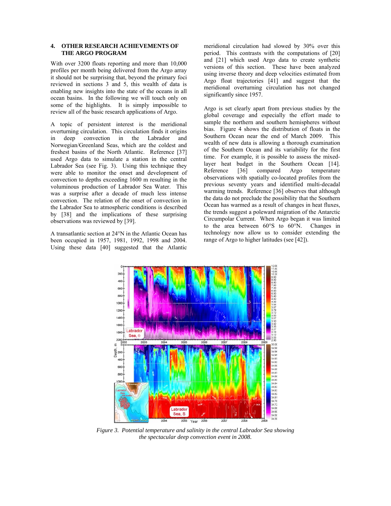## **4. OTHER RESEARCH ACHIEVEMENTS OF THE ARGO PROGRAM**

With over 3200 floats reporting and more than 10,000 profiles per month being delivered from the Argo array it should not be surprising that, beyond the primary foci reviewed in sections 3 and 5, this wealth of data is enabling new insights into the state of the oceans in all ocean basins. In the following we will touch only on some of the highlights. It is simply impossible to review all of the basic research applications of Argo.

A topic of persistent interest is the meridional overturning circulation. This circulation finds it origins in deep convection in the Labrador and Norwegian/Greenland Seas, which are the coldest and freshest basins of the North Atlantic. Reference [37] used Argo data to simulate a station in the central Labrador Sea (see Fig. 3). Using this technique they were able to monitor the onset and development of convection to depths exceeding 1600 m resulting in the voluminous production of Labrador Sea Water. This was a surprise after a decade of much less intense convection. The relation of the onset of convection in the Labrador Sea to atmospheric conditions is described by [38] and the implications of these surprising observations was reviewed by [39].

A transatlantic section at 24°N in the Atlantic Ocean has been occupied in 1957, 1981, 1992, 1998 and 2004. Using these data [40] suggested that the Atlantic meridional circulation had slowed by 30% over this period. This contrasts with the computations of [20] and [21] which used Argo data to create synthetic versions of this section. These have been analyzed using inverse theory and deep velocities estimated from Argo float trajectories [41] and suggest that the meridional overturning circulation has not changed significantly since 1957.

Argo is set clearly apart from previous studies by the global coverage and especially the effort made to sample the northern and southern hemispheres without bias. Figure 4 shows the distribution of floats in the Southern Ocean near the end of March 2009. This wealth of new data is allowing a thorough examination of the Southern Ocean and its variability for the first time. For example, it is possible to assess the mixedlayer heat budget in the Southern Ocean [14]. Reference [36] compared Argo temperature observations with spatially co-located profiles from the previous seventy years and identified multi-decadal warming trends. Reference [36] observes that although the data do not preclude the possibility that the Southern Ocean has warmed as a result of changes in heat fluxes, the trends suggest a poleward migration of the Antarctic Circumpolar Current. When Argo began it was limited to the area between 60°S to 60°N. Changes in technology now allow us to consider extending the range of Argo to higher latitudes (see [42]).



*Figure 3. Potential temperature and salinity in the central Labrador Sea showing the spectacular deep convection event in 2008.*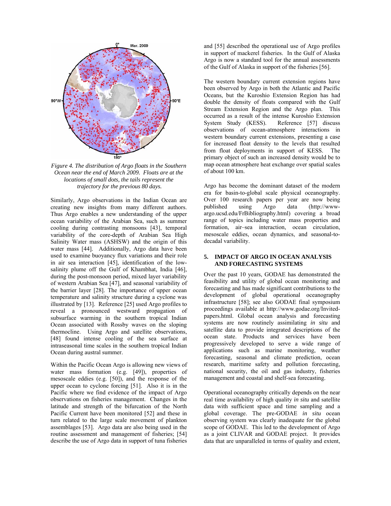

*Figure 4. The distribution of Argo floats in the Southern Ocean near the end of March 2009. Floats are at the locations of small dots, the tails represent the trajectory for the previous 80 days.* 

Similarly, Argo observations in the Indian Ocean are creating new insights from many different authors. Thus Argo enables a new understanding of the upper ocean variability of the Arabian Sea, such as summer cooling during contrasting monsoons [43], temporal variability of the core-depth of Arabian Sea High Salinity Water mass (ASHSW) and the origin of this water mass [44]. Additionally, Argo data have been used to examine buoyancy flux variations and their role in air sea interaction [45], identification of the lowsalinity plume off the Gulf of Khambhat, India [46], during the post-monsoon period, mixed layer variability of western Arabian Sea [47], and seasonal variability of the barrier layer [28]. The importance of upper ocean temperature and salinity structure during a cyclone was illustrated by [13]. Reference [25] used Argo profiles to reveal a pronounced westward propagation of subsurface warming in the southern tropical Indian Ocean associated with Rossby waves on the sloping thermocline. Using Argo and satellite observations, [48] found intense cooling of the sea surface at intraseasonal time scales in the southern tropical Indian Ocean during austral summer.

Within the Pacific Ocean Argo is allowing new views of water mass formation (e.g. [49]), properties of mesoscale eddies (e.g. [50]), and the response of the upper ocean to cyclone forcing [51]. Also it is in the Pacific where we find evidence of the impact of Argo observations on fisheries management. Changes in the latitude and strength of the bifurcation of the North Pacific Current have been monitored [52] and these in turn related to the large scale movement of plankton assemblages [53]. Argo data are also being used in the routine assessment and management of fisheries; [54] describe the use of Argo data in support of tuna fisheries

and [55] described the operational use of Argo profiles in support of mackerel fisheries. In the Gulf of Alaska Argo is now a standard tool for the annual assessments of the Gulf of Alaska in support of the fisheries [56].

The western boundary current extension regions have been observed by Argo in both the Atlantic and Pacific Oceans, but the Kuroshio Extension Region has had double the density of floats compared with the Gulf Stream Extension Region and the Argo plan. This occurred as a result of the intense Kuroshio Extension System Study (KESS). Reference [57] discuss observations of ocean-atmosphere interactions in western boundary current extensions, presenting a case for increased float density to the levels that resulted from float deployments in support of KESS. The primary object of such an increased density would be to map ocean atmosphere heat exchange over spatial scales of about 100 km.

Argo has become the dominant dataset of the modern era for basin-to-global scale physical oceanography. Over 100 research papers per year are now being published using Argo data (http://wwwargo.ucsd.edu/FrBibliography.html) covering a broad range of topics including water mass properties and formation, air–sea interaction, ocean circulation, mesoscale eddies, ocean dynamics, and seasonal-todecadal variability.

## **5. IMPACT OF ARGO IN OCEAN ANALYSIS AND FORECASTING SYSTEMS**

Over the past 10 years, GODAE has demonstrated the feasibility and utility of global ocean monitoring and forecasting and has made significant contributions to the development of global operational oceanography infrastructure [58]; see also GODAE final symposium proceedings available at http://www.godae.org/Invitedpapers.html. Global ocean analysis and forecasting systems are now routinely assimilating *in situ* and satellite data to provide integrated descriptions of the ocean state. Products and services have been progressively developed to serve a wide range of applications such as marine monitoring, weather forecasting, seasonal and climate prediction, ocean research, maritime safety and pollution forecasting, national security, the oil and gas industry, fisheries management and coastal and shelf-sea forecasting.

Operational oceanography critically depends on the near real time availability of high quality *in situ* and satellite data with sufficient space and time sampling and a global coverage. The pre-GODAE *in situ* ocean observing system was clearly inadequate for the global scope of GODAE. This led to the development of Argo as a joint CLIVAR and GODAE project. It provides data that are unparalleled in terms of quality and extent,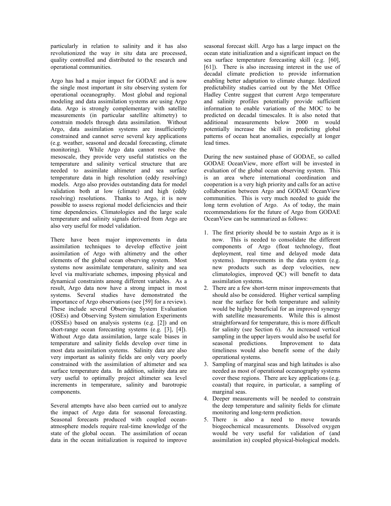particularly in relation to salinity and it has also revolutionized the way *in situ* data are processed, quality controlled and distributed to the research and operational communities.

Argo has had a major impact for GODAE and is now the single most important *in situ* observing system for operational oceanography. Most global and regional modeling and data assimilation systems are using Argo data. Argo is strongly complementary with satellite measurements (in particular satellite altimetry) to constrain models through data assimilation. Without Argo, data assimilation systems are insufficiently constrained and cannot serve several key applications (e.g. weather, seasonal and decadal forecasting, climate monitoring). While Argo data cannot resolve the mesoscale, they provide very useful statistics on the temperature and salinity vertical structure that are needed to assimilate altimeter and sea surface temperature data in high resolution (eddy resolving) models. Argo also provides outstanding data for model validation both at low (climate) and high (eddy resolving) resolutions. Thanks to Argo, it is now possible to assess regional model deficiencies and their time dependencies. Climatologies and the large scale temperature and salinity signals derived from Argo are also very useful for model validation.

There have been major improvements in data assimilation techniques to develop effective joint assimilation of Argo with altimetry and the other elements of the global ocean observing system. Most systems now assimilate temperature, salinity and sea level via multivariate schemes, imposing physical and dynamical constraints among different variables. As a result, Argo data now have a strong impact in most systems. Several studies have demonstrated the importance of Argo observations (see [59] for a review). These include several Observing System Evaluation (OSEs) and Observing System simulation Experiments (OSSEs) based on analysis systems (e.g. [2]) and on short-range ocean forecasting systems (e.g. [3], [4]). Without Argo data assimilation, large scale biases in temperature and salinity fields develop over time in most data assimilation systems. Salinity data are also very important as salinity fields are only very poorly constrained with the assimilation of altimeter and sea surface temperature data. In addition, salinity data are very useful to optimally project altimeter sea level increments in temperature, salinity and barotropic components.

Several attempts have also been carried out to analyze the impact of Argo data for seasonal forecasting. Seasonal forecasts produced with coupled oceanatmosphere models require real-time knowledge of the state of the global ocean. The assimilation of ocean data in the ocean initialization is required to improve seasonal forecast skill. Argo has a large impact on the ocean state initialization and a significant impact on the sea surface temperature forecasting skill (e.g. [60], [61]). There is also increasing interest in the use of decadal climate prediction to provide information enabling better adaptation to climate change. Idealized predictability studies carried out by the Met Office Hadley Centre suggest that current Argo temperature and salinity profiles potentially provide sufficient information to enable variations of the MOC to be predicted on decadal timescales. It is also noted that additional measurements below 2000 m would potentially increase the skill in predicting global patterns of ocean heat anomalies, especially at longer lead times.

During the new sustained phase of GODAE, so called GODAE OceanView, more effort will be invested in evaluation of the global ocean observing system. This is an area where international coordination and cooperation is a very high priority and calls for an active collaboration between Argo and GODAE OceanView communities. This is very much needed to guide the long term evolution of Argo. As of today, the main recommendations for the future of Argo from GODAE OceanView can be summarized as follows:

- 1. The first priority should be to sustain Argo as it is now. This is needed to consolidate the different components of Argo (float technology, float deployment, real time and delayed mode data systems). Improvements in the data system (e.g. new products such as deep velocities, new climatologies, improved QC) will benefit to data assimilation systems.
- 2. There are a few short-term minor improvements that should also be considered. Higher vertical sampling near the surface for both temperature and salinity would be highly beneficial for an improved synergy with satellite measurements. While this is almost straightforward for temperature, this is more difficult for salinity (see Section 6). An increased vertical sampling in the upper layers would also be useful for seasonal predictions. Improvement to data timeliness would also benefit some of the daily operational systems.
- 3. Sampling of marginal seas and high latitudes is also needed as most of operational oceanography systems cover these regions. There are key applications (e.g. coastal) that require, in particular, a sampling of marginal seas.
- 4. Deeper measurements will be needed to constrain the deep temperature and salinity fields for climate monitoring and long-term prediction.
- 5. There is also a need to move towards biogeochemical measurements. Dissolved oxygen would be very useful for validation of (and assimilation in) coupled physical-biological models.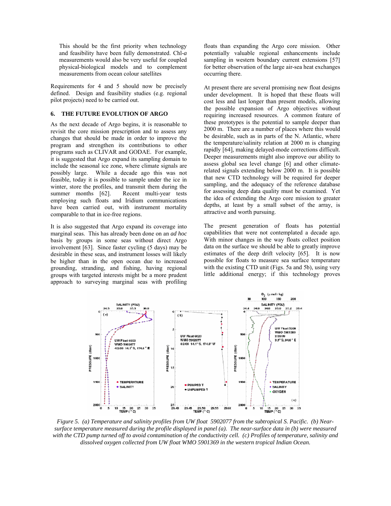This should be the first priority when technology and feasibility have been fully demonstrated. Chl-*a* measurements would also be very useful for coupled physical-biological models and to complement measurements from ocean colour satellites

Requirements for 4 and 5 should now be precisely defined. Design and feasibility studies (e.g. regional pilot projects) need to be carried out.

# **6. THE FUTURE EVOLUTION OF ARGO**

As the next decade of Argo begins, it is reasonable to revisit the core mission prescription and to assess any changes that should be made in order to improve the program and strengthen its contributions to other programs such as CLIVAR and GODAE. For example, it is suggested that Argo expand its sampling domain to include the seasonal ice zone, where climate signals are possibly large. While a decade ago this was not feasible, today it is possible to sample under the ice in winter, store the profiles, and transmit them during the summer months [62]. Recent multi-year tests employing such floats and Iridium communications have been carried out, with instrument mortality comparable to that in ice-free regions.

It is also suggested that Argo expand its coverage into marginal seas. This has already been done on an *ad hoc* basis by groups in some seas without direct Argo involvement [63]. Since faster cycling (5 days) may be desirable in these seas, and instrument losses will likely be higher than in the open ocean due to increased grounding, stranding, and fishing, having regional groups with targeted interests might be a more prudent approach to surveying marginal seas with profiling

floats than expanding the Argo core mission. Other potentially valuable regional enhancements include sampling in western boundary current extensions [57] for better observation of the large air-sea heat exchanges occurring there.

At present there are several promising new float designs under development. It is hoped that these floats will cost less and last longer than present models, allowing the possible expansion of Argo objectives without requiring increased resources. A common feature of these prototypes is the potential to sample deeper than 2000 m. There are a number of places where this would be desirable, such as in parts of the N. Atlantic, where the temperature/salinity relation at 2000 m is changing rapidly [64], making delayed-mode corrections difficult. Deeper measurements might also improve our ability to assess global sea level change [6] and other climaterelated signals extending below 2000 m. It is possible that new CTD technology will be required for deeper sampling, and the adequacy of the reference database for assessing deep data quality must be examined. Yet the idea of extending the Argo core mission to greater depths, at least by a small subset of the array, is attractive and worth pursuing.

The present generation of floats has potential capabilities that were not contemplated a decade ago. With minor changes in the way floats collect position data on the surface we should be able to greatly improve estimates of the deep drift velocity [65]. It is now possible for floats to measure sea surface temperature with the existing CTD unit (Figs. 5a and 5b), using very little additional energy; if this technology proves



*Figure 5. (a) Temperature and salinity profiles from UW float 5902077 from the subtropical S. Pacific. (b) Nearsurface temperature measured during the profile displayed in panel (a). The near-surface data in (b) were measured with the CTD pump turned off to avoid contamination of the conductivity cell. (c) Profiles of temperature, salinity and dissolved oxygen collected from UW float WMO 5901369 in the western tropical Indian Ocean.*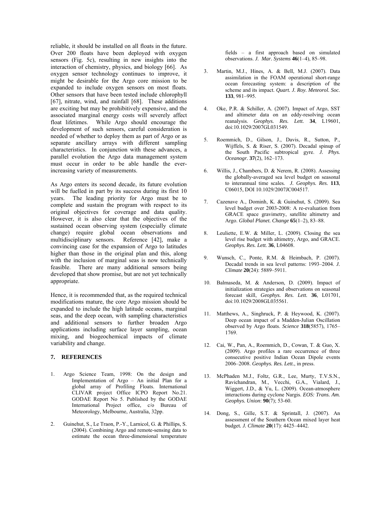reliable, it should be installed on all floats in the future. Over 200 floats have been deployed with oxygen sensors (Fig. 5c), resulting in new insights into the interaction of chemistry, physics, and biology [66]. As oxygen sensor technology continues to improve, it might be desirable for the Argo core mission to be expanded to include oxygen sensors on most floats. Other sensors that have been tested include chlorophyll [67], nitrate, wind, and rainfall [68]. These additions are exciting but may be prohibitively expensive, and the associated marginal energy costs will severely affect float lifetimes. While Argo should encourage the development of such sensors, careful consideration is needed of whether to deploy them as part of Argo or as separate ancillary arrays with different sampling characteristics. In conjunction with these advances, a parallel evolution the Argo data management system must occur in order to be able handle the everincreasing variety of measurements.

As Argo enters its second decade, its future evolution will be fuelled in part by its success during its first 10 years. The leading priority for Argo must be to complete and sustain the program with respect to its original objectives for coverage and data quality. However, it is also clear that the objectives of the sustained ocean observing system (especially climate change) require global ocean observations and multidisciplinary sensors. Reference [42], make a convincing case for the expansion of Argo to latitudes higher than those in the original plan and this, along with the inclusion of marginal seas is now technically feasible. There are many additional sensors being developed that show promise, but are not yet technically appropriate.

Hence, it is recommended that, as the required technical modifications mature, the core Argo mission should be expanded to include the high latitude oceans, marginal seas, and the deep ocean, with sampling characteristics and additional sensors to further broaden Argo applications including surface layer sampling, ocean mixing, and biogeochemical impacts of climate variability and change.

## **7. REFERENCES**

- 1. Argo Science Team, 1998: On the design and Implementation of Argo – An initial Plan for a global array of Profiling Floats. International CLIVAR project Office ICPO Report No.21. GODAE Report No 5. Published by the GODAE International Project office, c/o Bureau of Meteorology, Melbourne, Australia, 32pp.
- 2. Guinehut, S., Le Traon, P.-Y., Larnicol, G. & Phillips, S. (2004). Combining Argo and remote-sensing data to estimate the ocean three-dimensional temperature

fields – a first approach based on simulated observations. *J. Mar. Systems* **46**(1–4), 85–98.

- 3. Martin, M.J., Hines, A. & Bell, M.J. (2007). Data assimilation in the FOAM operational short-range ocean forecasting system: a description of the scheme and its impact. *Quart. J. Roy. Meteorol. Soc.* **133**, 981–995.
- 4. Oke, P.R. & Schiller, A. (2007). Impact of Argo, SST and altimeter data on an eddy-resolving ocean reanalysis. *Geophys. Res. Lett.* **34**, L19601, doi:10.1029/2007GL031549.
- 5. Roemmich, D., Gilson, J., Davis, R., Sutton, P., Wijffels, S. & Riser, S. (2007). Decadal spinup of the South Pacific subtropical gyre. *J. Phys. Oceanogr.* **37**(2), 162–173.
- 6. Willis, J., Chambers, D. & Nerem, R. (2008). Assessing the globally-averaged sea level budget on seasonal to interannual time scales*. J. Geophys. Res.* **113**, C06015, DOI 10.1029/2007JC004517.
- 7. Cazenave A., Dominh, K. & Guinehut, S. (2009). Sea level budget over 2003-2008: A re-evaluation from GRACE space gravimetry, satellite altimetry and Argo. *Global Planet. Change* **65**(1–2), 83–88.
- 8. Leuliette, E.W. & Miller, L. (2009). Closing the sea level rise budget with altimetry, Argo, and GRACE. *Geophys. Res. Lett.* **36**, L04608.
- 9. Wunsch, C., Ponte, R.M. & Heimbach, P. (2007). Decadal trends in sea level patterns: 1993–2004. *J. Climate* **20**(24): 5889–5911.
- 10. Balmaseda, M. & Anderson, D. (2009). Impact of initialization strategies and observations on seasonal forecast skill, *Geophys. Res. Lett.* **36**, L01701, doi:10.1029/2008GL035561.
- 11. Matthews, A., Singhruck, P. & Heywood, K. (2007). Deep ocean impact of a Madden-Julian Oscillation observed by Argo floats. *Science* **318**(5857), 1765– 1769.
- 12. Cai, W., Pan, A., Roemmich, D., Cowan, T. & Guo, X. (2009). Argo profiles a rare occurrence of three consecutive positive Indian Ocean Dipole events 2006–2008. *Geophys. Res. Lett.*, in press.
- 13. McPhaden M.J., Foltz, G.R., Lee, Murty, T.V.S.N., Ravichandran, M., Vecchi, G.A., Vialard, J., Wiggert, J.D., & Yu, L. (2009). Ocean-atmosphere interactions during cyclone Nargis. *EOS: Trans. Am. Geophys. Union*: **90**(7); 53-60.
- 14. Dong, S., Gille, S.T. & Sprintall, J. (2007). An assessment of the Southern Ocean mixed layer heat budget*. J. Climate* **20**(17): 4425–4442.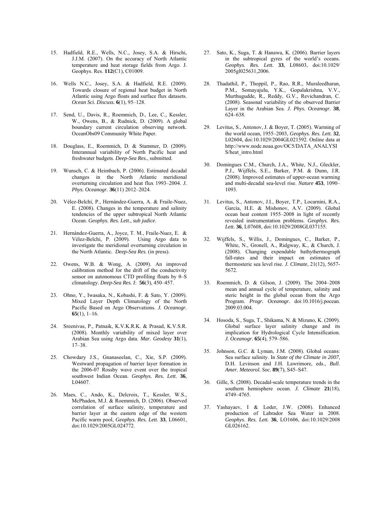- 15. Hadfield, R.E., Wells, N.C., Josey, S.A. & Hirschi, J.J.M. (2007). On the accuracy of North Atlantic temperature and heat storage fields from Argo. J. Geophys. Res. **112**(C1), C01009.
- 16. Wells N.C., Josey, S.A. & Hadfield, R.E. (2009). Towards closure of regional heat budget in North Atlantic using Argo floats and surface flux datasets. *Ocean Sci. Discuss.* **6**(1), 95–128.
- 17. Send, U., Davis, R., Roemmich, D., Lee, C., Kessler, W., Owens, B., & Rudnick, D. (2009). A global boundary current circulation observing network. OceanObs09 Community White Paper.
- 18. Douglass, E., Roemmich, D. & Stammer, D. (2009). Interannual variability of North Pacific heat and freshwater budgets. *Deep-Sea Res.*, submitted.
- 19. Wunsch, C. & Heimbach, P. (2006). Estimated decadal changes in the North Atlantic meridional overturning circulation and heat flux 1993–2004. *J. Phys. Oceanogr.* **36**(11) 2012–2024.
- 20. Vélez-Belchí, P., Hernández-Guerra, A. & Fraile-Nuez, E. (2008). Changes in the temperature and salinity tendencies of the upper subtropical North Atlantic Ocean. *Geophys. Res. Lett.*, *sub judice*.
- 21. Hernández-Guerra, A., Joyce, T. M., Fraile-Nuez, E. & Vélez-Belchi, P. (2009). Using Argo data to investigate the meridional overturning circulation in the North Atlantic*. Deep-Sea Res.* (in press).
- 22. Owens, W.B. & Wong, A. (2009). An improved calibration method for the drift of the conductivity sensor on autonomous CTD profiling floats by  $\theta$ –S climatology. *Deep-Sea Res. I*: **56**(3), 450–457.
- 23. Ohno, Y., Iwasaka, N., Kobashi, F. & Sato, Y. (2009). Mixed Layer Depth Climatology of the North Pacific Based on Argo Observations. *J. Oceanogr.* **65**(1), 1–16.
- 24. Sreenivas, P., Patnaik, K.V.K.R.K. & Prasad, K.V.S.R. (2008). Monthly variability of mixed layer over Arabian Sea using Argo data. *Mar. Geodesy* **31**(1), 17–38.
- 25. Chowdary J.S., Gnanaseelan, C., Xie, S.P. (2009). Westward propagation of barrier layer formation in the 2006-07 Rossby wave event over the tropical southwest Indian Ocean. *Geophys. Res. Lett.* **36**, L04607.
- 26. Maes, C., Ando, K., Delcroix, T., Kessler, W.S., McPhaden, M.J. & Roemmich, D. (2006). Observed correlation of surface salinity, temperature and barrier layer at the eastern edge of the western Pacific warm pool, *Geophys. Res. Lett.* **33**, L06601, doi:10.1029/2005GL024772.
- 27. Sato, K., Suga, T. & Hanawa, K. (2006). Barrier layers in the subtropical gyres of the world's oceans. *Geophys. Res. Lett.* **33**, L08603, doi:10.1029/ 2005gl025631,2006.
- 28. Thadathil, P., Thoppil, P., Rao, R.R., Muraleedharan, P.M., Somayajulu, Y.K., Gopalakrishna, V.V., Murthugudde, R., Reddy, G.V., Revichandran, C. (2008). Seasonal variability of the observed Barrier Layer in the Arabian Sea. *J. Phys. Oceanogr.* **38**, 624–638.
- 29. Levitus, S., Antonov, J. & Boyer, T. (2005). Warming of the world ocean, 1955–2003, *Geophys. Res. Lett.* **32**, L02604, doi:10.1029/2004GL021592. Online data at http://www.nodc.noaa.gov/OC5/DATA\_ANALYSI S/heat\_intro.html
- 30. Domingues C.M., Church, J.A., White, N.J., Gleckler, P.J., Wijffels, S.E., Barker, P.M. & Dunn, J.R. (2008). Improved estimates of upper-ocean warming and multi-decadal sea-level rise. *Nature* **453**, 1090– 1093.
- 31. Levitus, S., Antonov, J.I., Boyer, T.P., Locarnini, R.A., Garcia, H.E. & Mishonov, A.V. (2009). Global ocean heat content 1955–2008 in light of recently revealed instrumentation problems. *Geophys. Res. Lett.* **36**, L07608, doi:10.1029/2008GL037155.
- 32. Wijffels, S., Willis, J., Domingues, C., Barker, P., White, N., Gronell, A., Ridgway, K., & Church, J. (2008). Changing expendable bathythermograph fall-rates and their impact on estimates of thermosteric sea level rise. *J. Climate*, 21(12), 5657- 5672.
- 33. Roemmich, D. & Gilson, J. (2009). The 2004–2008 mean and annual cycle of temperature, salinity and steric height in the global ocean from the Argo Program. *Progr. Oceanogr.* doi:10.1016/j.pocean. 2009.03.004.
- 34. Hosoda, S., Suga, T., Shikama, N. & Mizuno, K. (2009). Global surface layer salinity change and its implication for Hydrological Cycle Intensification. *J. Oceanogr.* **65**(4), 579–586.
- 35. Johnson, G.C. & Lyman, J.M. (2008). Global oceans: Sea surface salinity. In *State of the Climate in 2007*, D.H. Levinson and J.H. Lawrimore, eds., *Bull. Amer. Meteorol. Soc.* **89**(7), S45–S47.
- 36. Gille, S. (2008). Decadal-scale temperature trends in the southern hemisphere ocean. *J. Climate* **21**(18), 4749–4765.
- 37. Yashayaev, I & Loder, J.W. (2008). Enhanced production of Labrador Sea Water in 2008. *Geophys. Res. Lett.* **36**, LO1606, doi:10.1029/2008 GL026162.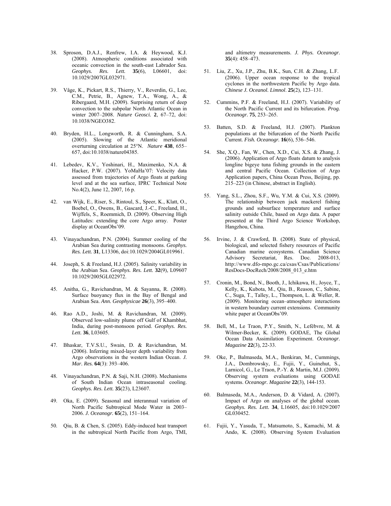- 38. Sproson, D.A.J., Renfrew, I.A. & Heywood, K.J. (2008). Atmospheric conditions associated with oceanic convection in the south-east Labrador Sea. *Geophys. Res. Lett.* **35**(6), L06601, doi: 10.1029/2007GL032971.
- 39. Våge, K., Pickart, R.S., Thierry, V., Reverdin, G., Lee, C.M., Petrie, B., Agnew, T.A., Wong, A., & Ribergaard, M.H. (2009). Surprising return of deep convection to the subpolar North Atlantic Ocean in winter 2007–2008. *Nature Geosci.* **2**, 67–72, doi: 10.1038/NGEO382.
- 40. Bryden, H.L., Longworth, R. & Cunningham, S.A. (2005). Slowing of the Atlantic meridional overturning circulation at 25°N. *Nature* **438**, 655– 657, doi:10.1038/nature04385.
- 41. Lebedev, K.V., Yoshinari, H., Maximenko, N.A. & Hacker, P.W. (2007). YoMaHa'07: Velocity data assessed from trajectories of Argo floats at parking level and at the sea surface, IPRC Technical Note No.4(2), June 12, 2007, 16 p.
- 42. van Wijk, E., Riser, S., Rintoul, S., Speer, K., Klatt, O., Boebel, O., Owens, B., Gascard, J.-C., Freeland, H., Wijffels, S., Roemmich, D. (2009). Observing High Latitudes: extending the core Argo array. Poster display at OceanObs'09.
- 43. Vinayachandran, P.N. (2004). Summer cooling of the Arabian Sea during contrasting monsoons. *Geophys. Res. Lett.* **31**, L13306, doi:10.1029/2004GL019961.
- 44. Joseph, S. & Freeland, H.J. (2005). Salinity variability in the Arabian Sea. *Geophys. Res. Lett.* **32**(9), L09607 10.1029/2005GL022972.
- 45. Anitha, G., Ravichandran, M. & Sayanna, R. (2008). Surface buoyancy flux in the Bay of Bengal and Arabian Sea. *Ann. Geophysicae* **26**(3), 395–400.
- 46. Rao A.D., Joshi, M. & Ravichandran, M. (2009). Observed low-salinity plume off Gulf of Khambhat, India, during post-monsoon period. *Geophys. Res. Lett.* **36**, L03605.
- 47. Bhaskar, T.V.S.U., Swain, D. & Ravichandran, M. (2006). Inferring mixed-layer depth variability from Argo observations in the western Indian Ocean. *J. Mar. Res.* **64**(3): 393–406.
- 48. Vinayachandran, P.N. & Saji, N.H. (2008). Mechanisms of South Indian Ocean intraseasonal cooling. *Geophys. Res. Lett.* **35**(23), L23607.
- 49. Oka, E. (2009). Seasonal and interannual variation of North Pacific Subtropical Mode Water in 2003– 2006. *J. Oceanogr.* **65**(2), 151–164.
- 50. Qiu, B. & Chen, S. (2005). Eddy-induced heat transport in the subtropical North Pacific from Argo, TMI,

and altimetry measurements. *J. Phys. Oceanogr.* **35**(4): 458–473.

- 51. Liu, Z., Xu, J.P., Zhu, B.K., Sun, C.H. & Zhang, L.F. (2006). Upper ocean response to the tropical cyclones in the northwestern Pacific by Argo data. *Chinese J. Oceanol. Limnol*. **25**(2), 123–131.
- 52. Cummins, P.F. & Freeland, H.J. (2007). Variability of the North Pacific Current and its bifurcation. *Prog. Oceanogr.* **75**, 253–265.
- 53. Batten, S.D. & Freeland, H.J. (2007). Plankton populations at the bifurcation of the North Pacific Current. *Fish. Oceanogr.* **16**(6), 536–546.
- 54. She, X.Q., Fan, W., Chen, X.D., Cui, X.S. & Zhang, J. (2006). Application of Argo floats datum to analysis longline bigeye tuna fishing grounds in the eastern and central Pacific Ocean. Collection of Argo Application papers, China Ocean Press, Beijing, pp. 215–223 (in Chinese, abstract in English).
- 55. Yang, S.L., Zhou, S.F., Wu, Y.M. & Cui, X.S. (2009). The relationship between jack mackerel fishing grounds and subsurface temperature and surface salinity outside Chile, based on Argo data. A paper presented at the Third Argo Science Workshop, Hangzhou, China.
- 56. Irvine, J. & Crawford, B. (2008). State of physical, biological, and selected fishery resources of Pacific Canadian marine ecosystems. Canadian Science Advisory Secretariat, Res. Doc. 2008-013, http://www.dfo-mpo.gc.ca/csas/Csas/Publications/ ResDocs-DocRech/2008/2008\_013\_e.htm
- 57. Cronin, M., Bond, N., Booth, J., Ichikawa, H., Joyce, T., Kelly, K., Kubota, M., Qiu, B., Reason, C., Sabine, C., Suga, T., Talley, L., Thompson, L. & Weller, R. (2009). Monitoring ocean–atmosphere interactions in western boundary current extensions. Community white paper at OceanObs'09.
- 58. Bell, M., Le Traon, P.Y., Smith, N., Lefèbvre, M. & Wilmer-Becker, K. (2009). GODAE, The Global Ocean Data Assimilation Experiment. *Oceanogr. Magazine* **22**(3), 22-33.
- 59. Oke, P., Balmaseda, M.A., Benkiran, M., Cummings, J.A., Dombrowsky, E., Fujii, Y., Guinehut, S., Larnicol, G., Le Traon, P.-Y. & Martin, M.J. (2009). Observing system evaluations using GODAE systems. *Oceanogr. Magazine* **22**(3), 144-153.
- 60. Balmaseda, M.A., Anderson, D. & Vidard, A. (2007). Impact of Argo on analyses of the global ocean. *Geophys. Res. Lett.* **34**, L16605, doi:10.1029/2007 GL030452.
- 61. Fujii, Y., Yasuda, T., Matsumoto, S., Kamachi, M. & Ando, K. (2008). Observing System Evaluation